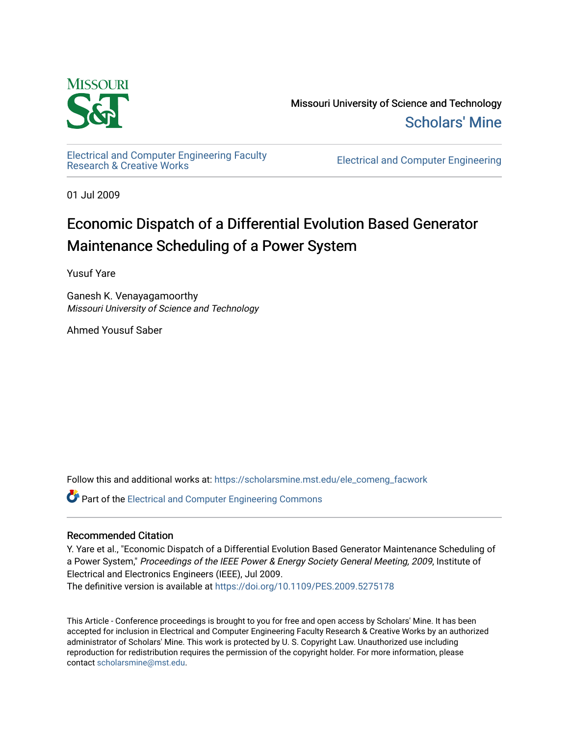

Missouri University of Science and Technology [Scholars' Mine](https://scholarsmine.mst.edu/) 

[Electrical and Computer Engineering Faculty](https://scholarsmine.mst.edu/ele_comeng_facwork)<br>Research & Creative Works

**Electrical and Computer Engineering** 

01 Jul 2009

# Economic Dispatch of a Differential Evolution Based Generator Maintenance Scheduling of a Power System

Yusuf Yare

Ganesh K. Venayagamoorthy Missouri University of Science and Technology

Ahmed Yousuf Saber

Follow this and additional works at: [https://scholarsmine.mst.edu/ele\\_comeng\\_facwork](https://scholarsmine.mst.edu/ele_comeng_facwork?utm_source=scholarsmine.mst.edu%2Fele_comeng_facwork%2F992&utm_medium=PDF&utm_campaign=PDFCoverPages)

**C** Part of the Electrical and Computer Engineering Commons

## Recommended Citation

Y. Yare et al., "Economic Dispatch of a Differential Evolution Based Generator Maintenance Scheduling of a Power System," Proceedings of the IEEE Power & Energy Society General Meeting, 2009, Institute of Electrical and Electronics Engineers (IEEE), Jul 2009.

The definitive version is available at <https://doi.org/10.1109/PES.2009.5275178>

This Article - Conference proceedings is brought to you for free and open access by Scholars' Mine. It has been accepted for inclusion in Electrical and Computer Engineering Faculty Research & Creative Works by an authorized administrator of Scholars' Mine. This work is protected by U. S. Copyright Law. Unauthorized use including reproduction for redistribution requires the permission of the copyright holder. For more information, please contact [scholarsmine@mst.edu](mailto:scholarsmine@mst.edu).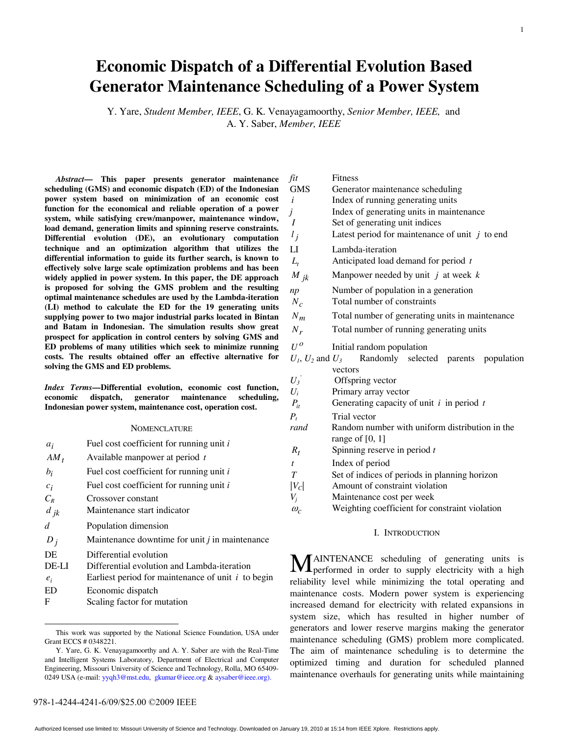## **Economic Dispatch of a Differential Evolution Based Generator Maintenance Scheduling of a Power System**

Y. Yare, *Student Member, IEEE*, G. K. Venayagamoorthy, *Senior Member, IEEE,* and A. Y. Saber, *Member, IEEE*

*Abstract***— This paper presents generator maintenance scheduling (GMS) and economic dispatch (ED) of the Indonesian power system based on minimization of an economic cost function for the economical and reliable operation of a power system, while satisfying crew/manpower, maintenance window, load demand, generation limits and spinning reserve constraints. Differential evolution (DE), an evolutionary computation technique and an optimization algorithm that utilizes the differential information to guide its further search, is known to effectively solve large scale optimization problems and has been widely applied in power system. In this paper, the DE approach is proposed for solving the GMS problem and the resulting optimal maintenance schedules are used by the Lambda-iteration (LI) method to calculate the ED for the 19 generating units supplying power to two major industrial parks located in Bintan and Batam in Indonesian. The simulation results show great prospect for application in control centers by solving GMS and ED problems of many utilities which seek to minimize running costs. The results obtained offer an effective alternative for solving the GMS and ED problems.** 

*Index Terms***—Differential evolution, economic cost function, economic dispatch, generator maintenance scheduling, Indonesian power system, maintenance cost, operation cost.** 

#### **NOMENCLATURE**

| $a_i$    | Fuel cost coefficient for running unit i             |
|----------|------------------------------------------------------|
| $AM_t$   | Available manpower at period $t$                     |
| $b_i$    | Fuel cost coefficient for running unit i             |
| $c_i$    | Fuel cost coefficient for running unit i             |
| $C_R$    | Crossover constant                                   |
| $d_{jk}$ | Maintenance start indicator                          |
| d        | Population dimension                                 |
| $D_i$    | Maintenance downtime for unit $j$ in maintenance     |
| DE       | Differential evolution                               |
| DE-LI    | Differential evolution and Lambda-iteration          |
| $e_i$    | Earliest period for maintenance of unit $i$ to begin |
|          |                                                      |

- ED Economic dispatch
- F Scaling factor for mutation

| fit                     | <b>Fitness</b>                                   |  |  |  |  |  |  |  |  |  |  |  |  |
|-------------------------|--------------------------------------------------|--|--|--|--|--|--|--|--|--|--|--|--|
| <b>GMS</b>              | Generator maintenance scheduling                 |  |  |  |  |  |  |  |  |  |  |  |  |
| $\dot{i}$               | Index of running generating units                |  |  |  |  |  |  |  |  |  |  |  |  |
| $\dot{J}$               | Index of generating units in maintenance         |  |  |  |  |  |  |  |  |  |  |  |  |
| $\boldsymbol{I}$        | Set of generating unit indices                   |  |  |  |  |  |  |  |  |  |  |  |  |
| $l_j$                   | Latest period for maintenance of unit $j$ to end |  |  |  |  |  |  |  |  |  |  |  |  |
| $\mathbf{I}$            | Lambda-iteration                                 |  |  |  |  |  |  |  |  |  |  |  |  |
| $L_t$                   | Anticipated load demand for period t             |  |  |  |  |  |  |  |  |  |  |  |  |
| $M_{jk}$                | Manpower needed by unit $j$ at week $k$          |  |  |  |  |  |  |  |  |  |  |  |  |
| np                      | Number of population in a generation             |  |  |  |  |  |  |  |  |  |  |  |  |
| $N_c$                   | Total number of constraints                      |  |  |  |  |  |  |  |  |  |  |  |  |
| $N_m$                   | Total number of generating units in maintenance  |  |  |  |  |  |  |  |  |  |  |  |  |
| $N_r$                   | Total number of running generating units         |  |  |  |  |  |  |  |  |  |  |  |  |
| $U^{\mathcal{O}}$       | Initial random population                        |  |  |  |  |  |  |  |  |  |  |  |  |
| $U_1$ , $U_2$ and $U_3$ | Randomly selected parents population             |  |  |  |  |  |  |  |  |  |  |  |  |
|                         | vectors                                          |  |  |  |  |  |  |  |  |  |  |  |  |
| $U_3$                   | Offspring vector                                 |  |  |  |  |  |  |  |  |  |  |  |  |
| $U_i$                   | Primary array vector                             |  |  |  |  |  |  |  |  |  |  |  |  |
| $P_{it}$                | Generating capacity of unit $i$ in period $t$    |  |  |  |  |  |  |  |  |  |  |  |  |
| $P_t$                   | Trial vector                                     |  |  |  |  |  |  |  |  |  |  |  |  |
| rand                    | Random number with uniform distribution in the   |  |  |  |  |  |  |  |  |  |  |  |  |
|                         | range of $[0, 1]$                                |  |  |  |  |  |  |  |  |  |  |  |  |
| $R_t$                   | Spinning reserve in period $t$                   |  |  |  |  |  |  |  |  |  |  |  |  |
| $\boldsymbol{t}$        | Index of period                                  |  |  |  |  |  |  |  |  |  |  |  |  |
| T                       | Set of indices of periods in planning horizon    |  |  |  |  |  |  |  |  |  |  |  |  |
| $ V_C $                 | Amount of constraint violation                   |  |  |  |  |  |  |  |  |  |  |  |  |
| $V_j$                   | Maintenance cost per week                        |  |  |  |  |  |  |  |  |  |  |  |  |

<sup>ω</sup>*c* Weighting coefficient for constraint violation

### I. INTRODUCTION

AINTENANCE scheduling of generating units is **MAINTENANCE** scheduling of generating units is performed in order to supply electricity with a high reliability level while minimizing the total operating and maintenance costs. Modern power system is experiencing increased demand for electricity with related expansions in system size, which has resulted in higher number of generators and lower reserve margins making the generator maintenance scheduling **(**GMS) problem more complicated. The aim of maintenance scheduling is to determine the optimized timing and duration for scheduled planned maintenance overhauls for generating units while maintaining

This work was supported by the National Science Foundation, USA under Grant ECCS # 0348221.

Y. Yare, G. K. Venayagamoorthy and A. Y. Saber are with the Real-Time and Intelligent Systems Laboratory, Department of Electrical and Computer Engineering, Missouri University of Science and Technology, Rolla, MO 65409- 0249 USA (e-mail: yyqh3@mst.edu, gkumar@ieee.org & aysaber@ieee.org).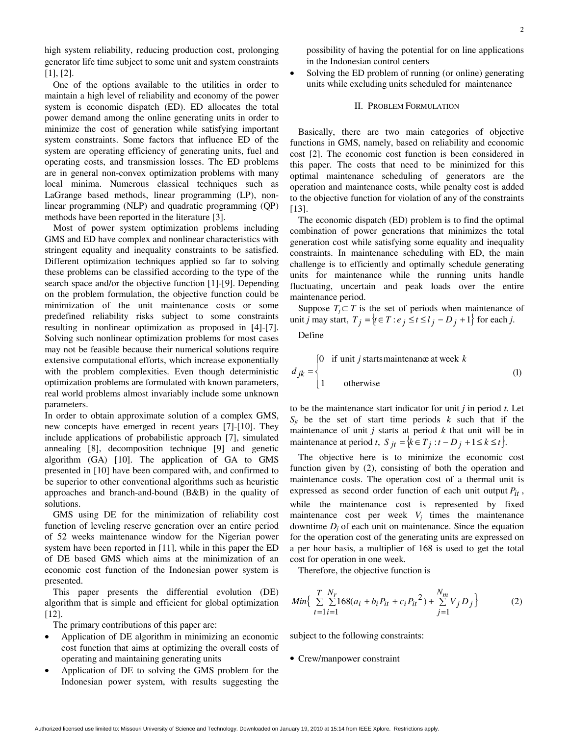high system reliability, reducing production cost, prolonging generator life time subject to some unit and system constraints [1], [2].

One of the options available to the utilities in order to maintain a high level of reliability and economy of the power system is economic dispatch (ED). ED allocates the total power demand among the online generating units in order to minimize the cost of generation while satisfying important system constraints. Some factors that influence ED of the system are operating efficiency of generating units, fuel and operating costs, and transmission losses. The ED problems are in general non-convex optimization problems with many local minima. Numerous classical techniques such as LaGrange based methods, linear programming (LP), nonlinear programming (NLP) and quadratic programming (QP) methods have been reported in the literature [3].

Most of power system optimization problems including GMS and ED have complex and nonlinear characteristics with stringent equality and inequality constraints to be satisfied. Different optimization techniques applied so far to solving these problems can be classified according to the type of the search space and/or the objective function [1]-[9]. Depending on the problem formulation, the objective function could be minimization of the unit maintenance costs or some predefined reliability risks subject to some constraints resulting in nonlinear optimization as proposed in [4]-[7]. Solving such nonlinear optimization problems for most cases may not be feasible because their numerical solutions require extensive computational efforts, which increase exponentially with the problem complexities. Even though deterministic optimization problems are formulated with known parameters, real world problems almost invariably include some unknown parameters.

In order to obtain approximate solution of a complex GMS, new concepts have emerged in recent years [7]-[10]. They include applications of probabilistic approach [7], simulated annealing [8], decomposition technique [9] and genetic algorithm (GA) [10]. The application of GA to GMS presented in [10] have been compared with, and confirmed to be superior to other conventional algorithms such as heuristic approaches and branch-and-bound (B&B) in the quality of solutions.

GMS using DE for the minimization of reliability cost function of leveling reserve generation over an entire period of 52 weeks maintenance window for the Nigerian power system have been reported in [11], while in this paper the ED of DE based GMS which aims at the minimization of an economic cost function of the Indonesian power system is presented.

This paper presents the differential evolution (DE) algorithm that is simple and efficient for global optimization [12].

The primary contributions of this paper are:

- Application of DE algorithm in minimizing an economic cost function that aims at optimizing the overall costs of operating and maintaining generating units
- Application of DE to solving the GMS problem for the Indonesian power system, with results suggesting the

possibility of having the potential for on line applications in the Indonesian control centers

Solving the ED problem of running (or online) generating units while excluding units scheduled for maintenance

#### II. PROBLEM FORMULATION

Basically, there are two main categories of objective functions in GMS, namely, based on reliability and economic cost [2]. The economic cost function is been considered in this paper. The costs that need to be minimized for this optimal maintenance scheduling of generators are the operation and maintenance costs, while penalty cost is added to the objective function for violation of any of the constraints [13].

The economic dispatch (ED) problem is to find the optimal combination of power generations that minimizes the total generation cost while satisfying some equality and inequality constraints. In maintenance scheduling with ED, the main challenge is to efficiently and optimally schedule generating units for maintenance while the running units handle fluctuating, uncertain and peak loads over the entire maintenance period.

Suppose  $T_i \subset T$  is the set of periods when maintenance of unit *j* may start,  $T_i = \{t \in T : e_j \le t \le l_j - D_j + 1\}$  for each *j*.

Define

$$
d_{jk} = \begin{cases} 0 & \text{if unit } j \text{ starts maintenance at week } k \\ 1 & \text{otherwise} \end{cases}
$$
 (1)

to be the maintenance start indicator for unit *j* in period *t.* Let  $S_{it}$  be the set of start time periods  $k$  such that if the maintenance of unit *j* starts at period *k* that unit will be in maintenance at period *t*,  $S_{it} = \{k \in T_j : t - D_j + 1 \le k \le t\}.$ 

The objective here is to minimize the economic cost function given by (2), consisting of both the operation and maintenance costs. The operation cost of a thermal unit is expressed as second order function of each unit output  $P_{it}$ , while the maintenance cost is represented by fixed maintenance cost per week  $V_i$  times the maintenance downtime *Dj* of each unit on maintenance. Since the equation for the operation cost of the generating units are expressed on a per hour basis, a multiplier of 168 is used to get the total cost for operation in one week.

Therefore, the objective function is

$$
Min\left\{\sum_{t=1}^{T} \sum_{i=1}^{N_r} 168(a_i + b_i P_{it} + c_i P_{it}^{2}) + \sum_{j=1}^{N_m} V_j D_j\right\}
$$
 (2)

subject to the following constraints:

• Crew/manpower constraint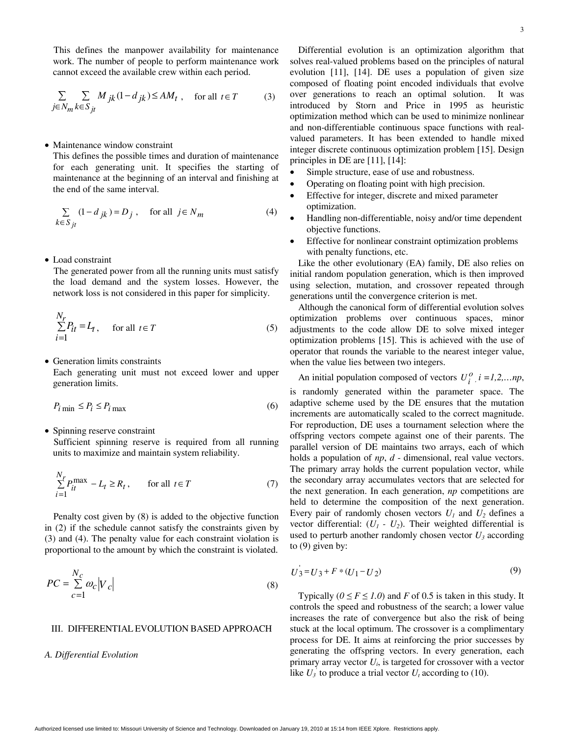This defines the manpower availability for maintenance work. The number of people to perform maintenance work cannot exceed the available crew within each period.

$$
\sum_{j \in N_m} \sum_{k \in S_{jt}} M_{jk} (1 - d_{jk}) \le AM_t , \quad \text{for all } t \in T
$$
 (3)

• Maintenance window constraint

This defines the possible times and duration of maintenance for each generating unit. It specifies the starting of maintenance at the beginning of an interval and finishing at the end of the same interval.

$$
\sum_{k \in S_{jt}} (1 - d_{jk}) = D_j , \quad \text{for all } j \in N_m
$$
 (4)

• Load constraint

The generated power from all the running units must satisfy the load demand and the system losses. However, the network loss is not considered in this paper for simplicity.

$$
\sum_{i=1}^{N_r} P_{it} = L_t, \quad \text{for all } t \in T
$$
 (5)

• Generation limits constraints

Each generating unit must not exceed lower and upper generation limits.

$$
P_{i \text{ min}} \le P_i \le P_{i \text{ max}} \tag{6}
$$

• Spinning reserve constraint

Sufficient spinning reserve is required from all running units to maximize and maintain system reliability.

$$
\sum_{i=1}^{N_r} P_{it}^{\max} - L_t \ge R_t, \qquad \text{for all } t \in T
$$
 (7)

Penalty cost given by (8) is added to the objective function in (2) if the schedule cannot satisfy the constraints given by (3) and (4). The penalty value for each constraint violation is proportional to the amount by which the constraint is violated.

$$
PC = \sum_{c=1}^{N_c} \omega_c |V_c|
$$
 (8)

#### III. DIFFERENTIAL EVOLUTION BASED APPROACH

#### *A. Differential Evolution*

Differential evolution is an optimization algorithm that solves real-valued problems based on the principles of natural evolution [11], [14]. DE uses a population of given size composed of floating point encoded individuals that evolve over generations to reach an optimal solution. It was introduced by Storn and Price in 1995 as heuristic optimization method which can be used to minimize nonlinear and non-differentiable continuous space functions with realvalued parameters. It has been extended to handle mixed integer discrete continuous optimization problem [15]. Design principles in DE are [11], [14]:

- Simple structure, ease of use and robustness.
- Operating on floating point with high precision.
- Effective for integer, discrete and mixed parameter optimization.
- Handling non-differentiable, noisy and/or time dependent objective functions.
- Effective for nonlinear constraint optimization problems with penalty functions, etc.

Like the other evolutionary (EA) family, DE also relies on initial random population generation, which is then improved using selection, mutation, and crossover repeated through generations until the convergence criterion is met.

Although the canonical form of differential evolution solves optimization problems over continuous spaces, minor adjustments to the code allow DE to solve mixed integer optimization problems [15]. This is achieved with the use of operator that rounds the variable to the nearest integer value, when the value lies between two integers.

An initial population composed of vectors  $U_i^0$ ,  $i = 1, 2, \dots np$ , is randomly generated within the parameter space. The adaptive scheme used by the DE ensures that the mutation increments are automatically scaled to the correct magnitude. For reproduction, DE uses a tournament selection where the offspring vectors compete against one of their parents. The parallel version of DE maintains two arrays, each of which holds a population of *np*, *d* - dimensional, real value vectors. The primary array holds the current population vector, while the secondary array accumulates vectors that are selected for the next generation. In each generation, *np* competitions are held to determine the composition of the next generation. Every pair of randomly chosen vectors  $U_1$  and  $U_2$  defines a vector differential:  $(U_1 - U_2)$ . Their weighted differential is used to perturb another randomly chosen vector  $U_3$  according to (9) given by:

$$
U_3 = U_3 + F * (U_1 - U_2) \tag{9}
$$

Typically ( $0 \le F \le 1.0$ ) and *F* of 0.5 is taken in this study. It controls the speed and robustness of the search; a lower value increases the rate of convergence but also the risk of being stuck at the local optimum. The crossover is a complimentary process for DE. It aims at reinforcing the prior successes by generating the offspring vectors. In every generation, each primary array vector *Ui*, is targeted for crossover with a vector like  $U_3$ <sup> $\prime$ </sup> to produce a trial vector  $U_t$  according to (10).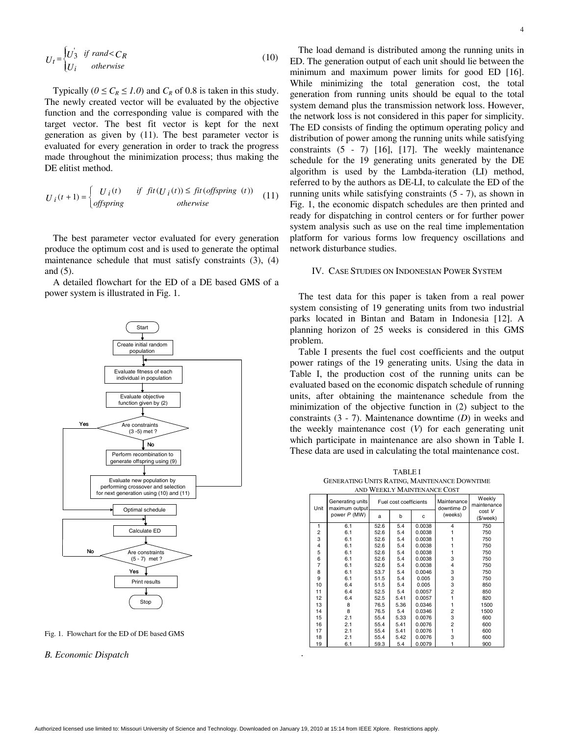$$
U_t = \begin{cases} U_3' & \text{if } rand < C_R \\ U_i & \text{otherwise} \end{cases} \tag{10}
$$

Typically ( $0 \le C_R \le 1.0$ ) and  $C_R$  of 0.8 is taken in this study. The newly created vector will be evaluated by the objective function and the corresponding value is compared with the target vector. The best fit vector is kept for the next generation as given by (11). The best parameter vector is evaluated for every generation in order to track the progress made throughout the minimization process; thus making the DE elitist method.

$$
U_i(t+1) = \begin{cases} U_i(t) & \text{if } \text{fit}(U_i(t)) \leq \text{fit}(offspring(t))\\ \text{offspring} & \text{otherwise} \end{cases} \tag{11}
$$

The best parameter vector evaluated for every generation produce the optimum cost and is used to generate the optimal maintenance schedule that must satisfy constraints (3), (4) and (5).

A detailed flowchart for the ED of a DE based GMS of a power system is illustrated in Fig. 1.



Fig. 1. Flowchart for the ED of DE based GMS

*B. Economic Dispatch*

4

The load demand is distributed among the running units in ED. The generation output of each unit should lie between the minimum and maximum power limits for good ED [16]. While minimizing the total generation cost, the total generation from running units should be equal to the total system demand plus the transmission network loss. However, the network loss is not considered in this paper for simplicity. The ED consists of finding the optimum operating policy and distribution of power among the running units while satisfying constraints (5 - 7) [16], [17]. The weekly maintenance schedule for the 19 generating units generated by the DE algorithm is used by the Lambda-iteration (LI) method, referred to by the authors as DE-LI, to calculate the ED of the running units while satisfying constraints (5 - 7), as shown in Fig. 1, the economic dispatch schedules are then printed and ready for dispatching in control centers or for further power system analysis such as use on the real time implementation platform for various forms low frequency oscillations and network disturbance studies.

#### IV. CASE STUDIES ON INDONESIAN POWER SYSTEM

The test data for this paper is taken from a real power system consisting of 19 generating units from two industrial parks located in Bintan and Batam in Indonesia [12]. A planning horizon of 25 weeks is considered in this GMS problem.

Table I presents the fuel cost coefficients and the output power ratings of the 19 generating units. Using the data in Table I, the production cost of the running units can be evaluated based on the economic dispatch schedule of running units, after obtaining the maintenance schedule from the minimization of the objective function in (2) subject to the constraints (3 - 7). Maintenance downtime (*D*) in weeks and the weekly maintenance cost (*V*) for each generating unit which participate in maintenance are also shown in Table I. These data are used in calculating the total maintenance cost.

TABLE I GENERATING UNITS RATING, MAINTENANCE DOWNTIME AND WEEKLY MAINTENANCE COST

| Unit           | Generating units<br>maximum output<br>power P (MW) | a    | Fuel cost coefficients<br>b | Ċ      | Maintenance<br>downtime D<br>(weeks) | Weekly<br>maintenance<br>cost V<br>(\$/week) |
|----------------|----------------------------------------------------|------|-----------------------------|--------|--------------------------------------|----------------------------------------------|
| 1              | 6.1                                                | 52.6 | 5.4                         | 0.0038 | $\overline{\mathbf{4}}$              | 750                                          |
| 2              | 6.1                                                | 52.6 | 5.4                         | 0.0038 |                                      | 750                                          |
| 3              | 6.1                                                | 52.6 | 5.4                         | 0.0038 |                                      | 750                                          |
| $\overline{4}$ | 6.1                                                | 52.6 | 5.4                         | 0.0038 |                                      | 750                                          |
| 5              | 6.1                                                | 52.6 | 5.4                         | 0.0038 |                                      | 750                                          |
| 6              | 6.1                                                | 52.6 | 5.4                         | 0.0038 | 3                                    | 750                                          |
| $\overline{7}$ | 6.1                                                | 52.6 | 5.4                         | 0.0038 | $\overline{\mathbf{4}}$              | 750                                          |
| 8              | 6.1                                                | 53.7 | 5.4                         | 0.0046 | 3                                    | 750                                          |
| 9              | 6.1                                                | 51.5 | 3<br>5.4<br>0.005           |        |                                      | 750                                          |
| 10             | 6.4                                                | 51.5 | 5.4                         | 0.005  | 3                                    | 850                                          |
| 11             | 6.4                                                | 52.5 | 5.4                         | 0.0057 | $\overline{c}$                       | 850                                          |
| 12             | 6.4                                                | 52.5 | 5.41                        | 0.0057 |                                      | 820                                          |
| 13             | 8                                                  | 76.5 | 5.36                        | 0.0346 |                                      | 1500                                         |
| 14             | 8                                                  | 76.5 | 5.4                         | 0.0346 | 2                                    | 1500                                         |
| 15             | 2.1                                                | 55.4 | 5.33                        | 0.0076 | 3                                    | 600                                          |
| 16             | 2.1                                                | 55.4 | 5.41                        | 0.0076 | $\overline{2}$                       | 600                                          |
| 17             | 2.1                                                | 55.4 | 5.41                        | 0.0076 |                                      | 600                                          |
| 18             | 2.1                                                | 55.4 | 5.42                        | 0.0076 | 3                                    | 600                                          |
| 19             | 6.1                                                | 59.3 | 5.4                         | 0.0079 |                                      | 900                                          |

.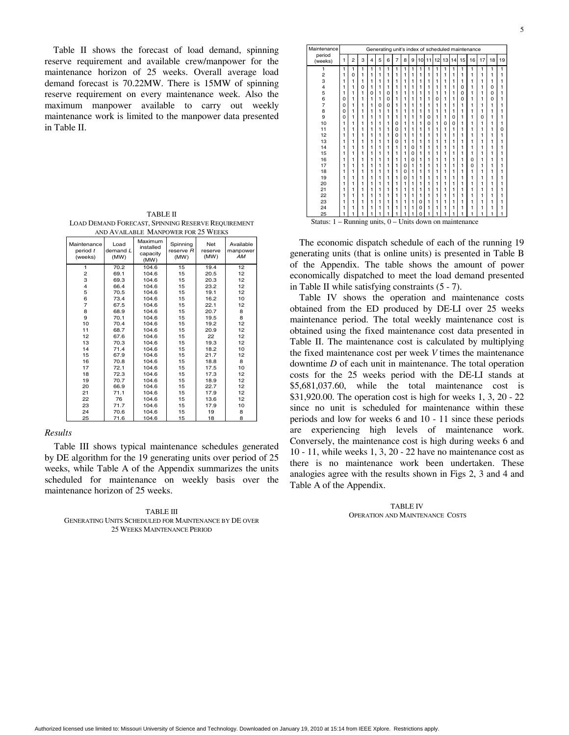Table II shows the forecast of load demand, spinning reserve requirement and available crew/manpower for the maintenance horizon of 25 weeks. Overall average load demand forecast is 70.22MW. There is 15MW of spinning reserve requirement on every maintenance week. Also the maximum manpower available to carry out weekly maintenance work is limited to the manpower data presented in Table II.

TABLE II LOAD DEMAND FORECAST, SPINNING RESERVE REQUIREMENT AND AVAILABLE MANPOWER FOR 25 WEEKS

| Maintenance<br>period t<br>(weeks) | Load<br>demand L<br>(MW) | Maximum<br>installed<br>capacity<br>(MW) | Spinning<br>reserve $R$<br>(MW) | Net<br>reserve<br>(MW) | Available<br>manpower<br>AM |
|------------------------------------|--------------------------|------------------------------------------|---------------------------------|------------------------|-----------------------------|
| 1                                  | 70.2                     | 104.6                                    | 15                              | 19.4                   | 12                          |
| 2                                  | 69.1                     | 104.6                                    | 15                              | 20.5                   | 12                          |
| 3                                  | 69.3                     | 104.6                                    | 15                              | 20.3                   | 12                          |
| 4                                  | 66.4                     | 104.6                                    | 15                              | 23.2                   | 12                          |
| 5                                  | 70.5                     | 104.6                                    | 15                              | 19.1                   | 12                          |
| 6                                  | 73.4                     | 104.6                                    | 15                              | 16.2                   | 10                          |
| $\overline{7}$                     | 67.5                     | 104.6                                    | 15                              | 22.1                   | 12                          |
| 8                                  | 68.9                     | 104.6                                    | 15                              | 20.7                   | 8                           |
| 9                                  | 70.1                     | 104.6                                    | 15                              | 19.5                   | 8                           |
| 10                                 | 70.4                     | 104.6                                    | 15                              | 19.2                   | 12                          |
| 11                                 | 68.7                     | 104.6                                    | 15                              | 20.9                   | 12                          |
| 12                                 | 67.6                     | 104.6                                    | 15                              | 22                     | 12                          |
| 13                                 | 70.3                     | 104.6                                    | 15                              | 19.3                   | 12                          |
| 14                                 | 71.4                     | 104.6                                    | 15                              | 18.2                   | 10                          |
| 15                                 | 67.9                     | 104.6                                    | 15                              | 21.7                   | 12                          |
| 16                                 | 70.8                     | 104.6                                    | 15                              | 18.8                   | 8                           |
| 17                                 | 72.1                     | 104.6                                    | 15                              | 17.5                   | 10                          |
| 18                                 | 72.3                     | 104.6                                    | 15                              | 17.3                   | 12                          |
| 19                                 | 70.7                     | 104.6                                    | 15                              | 18.9                   | 12                          |
| 20                                 | 66.9                     | 104.6                                    | 15                              | 22.7                   | 12                          |
| 21                                 | 71.1                     | 104.6                                    | 15                              | 17.9                   | 12                          |
| 22                                 | 76                       | 104.6                                    | 15                              | 13.6                   | 12                          |
| 23                                 | 71.7                     | 104.6                                    | 15                              | 17.9                   | 10                          |
| 24                                 | 70.6                     | 104.6                                    | 15                              | 19                     | 8                           |
| 25                                 | 71.6                     | 104.6                                    | 15                              | 18                     | 8                           |

#### *Results*

Table III shows typical maintenance schedules generated by DE algorithm for the 19 generating units over period of 25 weeks, while Table A of the Appendix summarizes the units scheduled for maintenance on weekly basis over the maintenance horizon of 25 weeks.

TABLE III GENERATING UNITS SCHEDULED FOR MAINTENANCE BY DE OVER 25 WEEKS MAINTENANCE PERIOD

| Maintenance       |                | Generating unit's index of scheduled maintenance |          |          |              |              |              |          |          |              |              |              |              |              |          |          |              |          |          |
|-------------------|----------------|--------------------------------------------------|----------|----------|--------------|--------------|--------------|----------|----------|--------------|--------------|--------------|--------------|--------------|----------|----------|--------------|----------|----------|
| period<br>(weeks) | 1              | $\overline{2}$                                   | 3        | 4        | 5            | 6            | 7            | 8        | 9        | 10           | 11           | 12           | 13           | 14           | 15       | 16       | 17           | 18       | 19       |
| 1                 | $\blacksquare$ | $\mathbf{1}$                                     | 1        | 1        | $\mathbf{1}$ | $\mathbf{1}$ | $\mathbf{1}$ | 1        | 1        | $\mathbf{1}$ | $\mathbf{1}$ | $\mathbf{1}$ | $\mathbf{1}$ | $\mathbf{1}$ | 1        | 1        | $\mathbf{1}$ | 1        | 1        |
| $\overline{c}$    | 1              | 0                                                | 1        | 1        | 1            | 1            | 1            | 1        | 1        | 1            | 1            | 1            | 1            | 1            | 1        | 1        | 1            | 1        | 1        |
| 3                 | 1              | 1                                                | 1        | 1        | 1            | 1            | 1            | 1        | 1        | 1            | 1            | 1            | 1            | 1            | 1        | 1        | 1            | 1        | 1        |
| 4                 |                | 1                                                | $\Omega$ | 1        | 1            | 1            | 1            | 1        | 1        | 1            | 1            | 1            | 1            | 1            | $\Omega$ | 1        | 1            | $\Omega$ | 1        |
| 5                 | 1              | 1                                                | 1        | $\Omega$ | 1            | 0            | 1            | 1        | 1        | 1            | 1            | 1            | 1            | 1            | $\Omega$ | 1        | 1            | $\Omega$ | 1        |
| 6                 | $\Omega$       | 1                                                | 1        | 1        | 1            | $\Omega$     | 1            | 1        | 1        | 1            | 1            | $\Omega$     | 1            | 1            | $\Omega$ | 1        | 1            | $\Omega$ | 1        |
| 7                 | $\Omega$       | 1                                                | 1        | 1        | 0            | 0            | 1            | 1        | 1        | 1            | 1            | 1            | 1            | 1            | 1        | 1        | 1            | 1        | 1        |
| 8                 | $\Omega$       | 1                                                | 1        | 1        | 1            | 1            | 1            | 1        | 1        | 1            | 1            | 1            | 1            | 1            | 1        | 1        | 1            | 1        | 1        |
| 9                 | $\Omega$       | 1                                                | 1        | 1        | 1            | 1            | 1            | 1        | 1        | 1            | 0            | 1            | 1            | $\Omega$     | 1        | 1        | $\Omega$     | 1        |          |
| 10                | 1              | 1                                                | 1        | 1        | 1            | 1            | $\Omega$     | 1        | 1        | 1            | $\Omega$     | 1            | $\Omega$     | $\Omega$     | 1        | 1        | 1            | 1        | 1        |
| 11                | 1              | 1                                                | 1        | 1        | 1            | 1            | $\Omega$     | 1        | 1        | 1            | 1            | 1            | 1            | 1            | 1        | 1        | 1            | 1        | $\Omega$ |
| 12                | 1              | 1                                                | 1        | 1        | 1            | 1            | $\Omega$     | 1        | 1        | 1            | 1            | 1            | 1            | 1            | 1        | 1        | 1            | 1        | 1        |
| 13                | 1              | 1                                                | 1        | 1        | 1            | 1            | $\Omega$     | 1        | 1        | 1            | 1            | 1            | 1            | 1            | 1        | 1        | 1            | 1        | 1        |
| 14                | 1              | 1                                                | 1        | 1        | 1            | 1            | 1            | 1        | 0        | 1            | 1            | 1            | 1            | 1            | 1        | 1        | 1            | 1        |          |
| 15                | 1              | 1                                                | 1        | 1        | 1            | 1            | 1            | 1        | $\Omega$ | 1            | 1            | 1            | 1            | 1            | 1        | 1        | 1            | 1        | 1        |
| 16                | 1              | 1                                                | 1        | 1        | 1            | 1            | 1            | 1        | 0        | 1            | 1            | 1            | 1            | 1            | 1        | $\Omega$ | 1            | 1        |          |
| 17                | 1              | 1                                                | 1        | 1        | 1            | 1            | 1            | $\Omega$ | 1        | 1            | 1            | 1            | 1            | 1            | 1        | $\Omega$ | 1            | 1        |          |
| 18                | 1              | 1                                                | 1        | 1        | 1            | 1            | 1            | $\Omega$ | 1        | 1            | 1            | $\mathbf{1}$ | 1            | 1            | 1        | 1        | 1            | 1        | 1        |
| 19                | 1              | 1                                                | 1        | 1        | 1            | 1            | 1            | 0        | 1        | 1            | 1            | 1            | 1            | 1            | 1        | 1        | 1            | 1        | 1        |
| 20                | 1              | 1                                                | 1        | 1        | 1            | 1            | 1            | 1        | 1        | 1            | 1            | 1            | 1            | 1            | 1        | 1        | 1            | 1        | 1        |
| 21                | 1              | 1                                                | 1        | 1        | 1            | 1            | 1            | 1        | 1        | 1            | 1            | 1            | 1            | 1            | 1        | 1        | 1            | 1        |          |
| 22                | 1              | 1                                                | 1        | 1        | 1            | 1            | 1            | 1        | 1        | 1            | 1            | 1            | 1            | 1            | 1        | 1        | 1            | 1        | 1        |
| 23                | 1              | 1                                                | 1        | 1        | 1            | 1            | 1            | 1        | 1        | $\Omega$     | 1            | 1            | 1            | 1            | 1        | 1        | 1            | 1        |          |
| 24                |                | 1                                                | 1        | 1        | 1            | 1            | 1            | 1        | 1        | $\Omega$     | 1            | 1            | 1            | 1            | 1        | 1        | 1            |          | 1        |
| 25                | 1              | 1                                                | 1        |          |              |              | 1            |          | 1        | $\Omega$     | 1            |              |              | 1            | 1        | 1        | 1            |          | 1        |

Status: 1 – Running units, 0 – Units down on maintenance

 The economic dispatch schedule of each of the running 19 generating units (that is online units) is presented in Table B of the Appendix. The table shows the amount of power economically dispatched to meet the load demand presented in Table II while satisfying constraints (5 - 7).

Table IV shows the operation and maintenance costs obtained from the ED produced by DE-LI over 25 weeks maintenance period. The total weekly maintenance cost is obtained using the fixed maintenance cost data presented in Table II. The maintenance cost is calculated by multiplying the fixed maintenance cost per week *V* times the maintenance downtime *D* of each unit in maintenance. The total operation costs for the 25 weeks period with the DE-LI stands at \$5,681,037.60, while the total maintenance cost is \$31,920.00. The operation cost is high for weeks 1, 3, 20 - 22 since no unit is scheduled for maintenance within these periods and low for weeks 6 and 10 - 11 since these periods are experiencing high levels of maintenance work. Conversely, the maintenance cost is high during weeks 6 and 10 - 11, while weeks 1, 3, 20 - 22 have no maintenance cost as there is no maintenance work been undertaken. These analogies agree with the results shown in Figs 2, 3 and 4 and Table A of the Appendix.

> TABLE IV OPERATION AND MAINTENANCE COSTS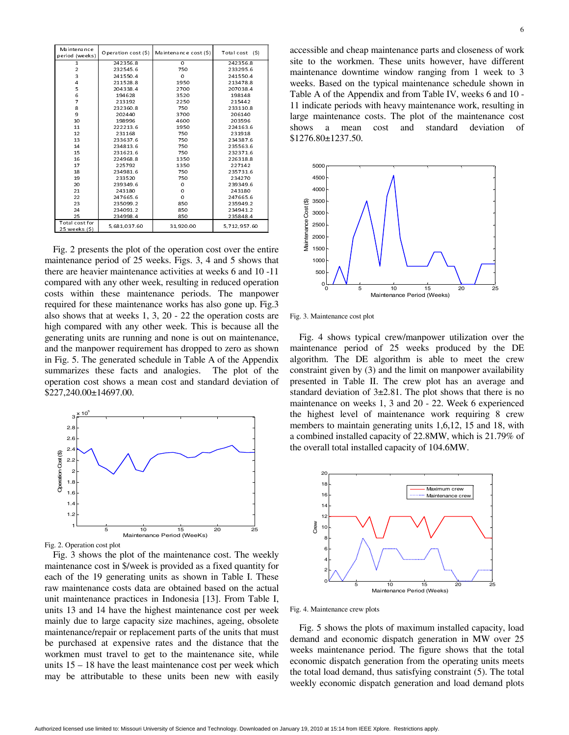| Maintenance<br>period (weeks)   | Operation cost (\$) | Maintenance cost (\$) | Total cost (\$) |
|---------------------------------|---------------------|-----------------------|-----------------|
| 1                               | 2423568             | $\Omega$              | 242356.8        |
| $\overline{c}$                  | 232545.6            | 750                   | 233295.6        |
| 3                               | 2415504             | $\Omega$              | 2415504         |
| 4                               | 211528.8            | 1950                  | 213478.8        |
| 5                               | 204338.4            | 2700                  | 207038.4        |
| 6                               | 194628              | 3520                  | 198148          |
| 7                               | 213192              | 2250                  | 215442          |
| 8                               | 2323608             | 750                   | 233110.8        |
| 9                               | 202440              | 3700                  | 206140          |
| 10                              | 198996              | 4600                  | 203596          |
| 11                              | 2222136             | 1950                  | 2241636         |
| 12                              | 231168              | 750                   | 231918          |
| 13                              | 2336376             | 750                   | 2343876         |
| 14                              | 234813.6            | 750                   | 235563.6        |
| 15                              | 231621.6            | 750                   | 232371.6        |
| 16                              | 224968.8            | 1350                  | 226318.8        |
| 17                              | 225792              | 1350                  | 227142          |
| 18                              | 2349816             | 750                   | 2357316         |
| 19                              | 233520              | 750                   | 234270          |
| 20                              | 239349.6            | 0                     | 239349.6        |
| 21                              | 243180              | $\Omega$              | 243180          |
| 22                              | 247665.6            | 0                     | 247665.6        |
| 23                              | 235099.2            | 850                   | 235949.2        |
| 24                              | 234091.2            | 850                   | 234941.2        |
| 25                              | 234998.4            | 850                   | 235848.4        |
| Total cost for<br>25 weeks (\$) | 5,681,037.60        | 31,920.00             | 5,712,957.60    |

Fig. 2 presents the plot of the operation cost over the entire maintenance period of 25 weeks. Figs. 3, 4 and 5 shows that there are heavier maintenance activities at weeks 6 and 10 -11 compared with any other week, resulting in reduced operation costs within these maintenance periods. The manpower required for these maintenance works has also gone up. Fig.3 also shows that at weeks 1, 3, 20 - 22 the operation costs are high compared with any other week. This is because all the generating units are running and none is out on maintenance, and the manpower requirement has dropped to zero as shown in Fig. 5. The generated schedule in Table A of the Appendix summarizes these facts and analogies. The plot of the operation cost shows a mean cost and standard deviation of \$227,240.00±14697.00.



Fig. 2. Operation cost plot

Fig. 3 shows the plot of the maintenance cost. The weekly maintenance cost in \$/week is provided as a fixed quantity for each of the 19 generating units as shown in Table I. These raw maintenance costs data are obtained based on the actual unit maintenance practices in Indonesia [13]. From Table I, units 13 and 14 have the highest maintenance cost per week mainly due to large capacity size machines, ageing, obsolete maintenance/repair or replacement parts of the units that must be purchased at expensive rates and the distance that the workmen must travel to get to the maintenance site, while units 15 – 18 have the least maintenance cost per week which may be attributable to these units been new with easily

accessible and cheap maintenance parts and closeness of work site to the workmen. These units however, have different maintenance downtime window ranging from 1 week to 3 weeks. Based on the typical maintenance schedule shown in Table A of the Appendix and from Table IV, weeks 6 and 10 - 11 indicate periods with heavy maintenance work, resulting in large maintenance costs. The plot of the maintenance cost shows a mean cost and standard deviation of \$1276.80±1237.50.



Fig. 3. Maintenance cost plot

Fig. 4 shows typical crew/manpower utilization over the maintenance period of 25 weeks produced by the DE algorithm. The DE algorithm is able to meet the crew constraint given by (3) and the limit on manpower availability presented in Table II. The crew plot has an average and standard deviation of  $3\pm 2.81$ . The plot shows that there is no maintenance on weeks 1, 3 and 20 - 22. Week 6 experienced the highest level of maintenance work requiring 8 crew members to maintain generating units 1,6,12, 15 and 18, with a combined installed capacity of 22.8MW, which is 21.79% of the overall total installed capacity of 104.6MW.



Fig. 4. Maintenance crew plots

Fig. 5 shows the plots of maximum installed capacity, load demand and economic dispatch generation in MW over 25 weeks maintenance period. The figure shows that the total economic dispatch generation from the operating units meets the total load demand, thus satisfying constraint (5). The total weekly economic dispatch generation and load demand plots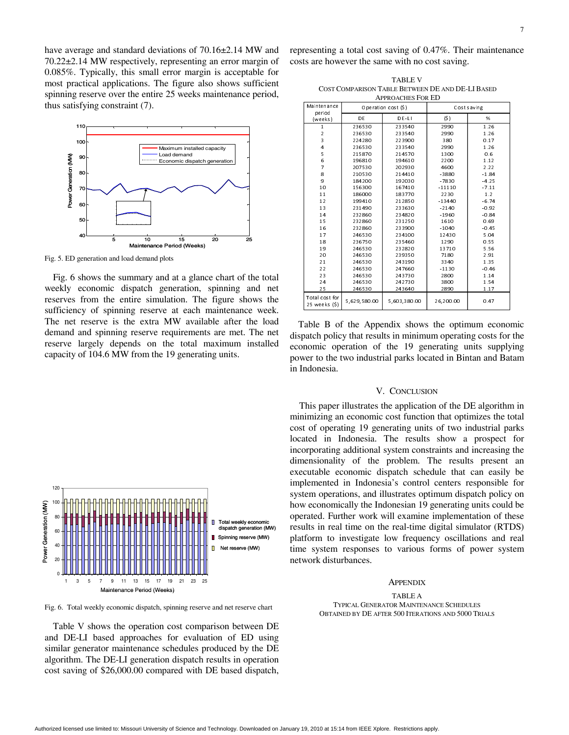have average and standard deviations of  $70.16\pm2.14$  MW and 70.22±2.14 MW respectively, representing an error margin of 0.085%. Typically, this small error margin is acceptable for most practical applications. The figure also shows sufficient spinning reserve over the entire 25 weeks maintenance period, thus satisfying constraint (7).



Fig. 5. ED generation and load demand plots

Fig. 6 shows the summary and at a glance chart of the total weekly economic dispatch generation, spinning and net reserves from the entire simulation. The figure shows the sufficiency of spinning reserve at each maintenance week. The net reserve is the extra MW available after the load demand and spinning reserve requirements are met. The net reserve largely depends on the total maximum installed capacity of 104.6 MW from the 19 generating units.



Fig. 6. Total weekly economic dispatch, spinning reserve and net reserve chart

Table V shows the operation cost comparison between DE and DE-LI based approaches for evaluation of ED using similar generator maintenance schedules produced by the DE algorithm. The DE-LI generation dispatch results in operation cost saving of \$26,000.00 compared with DE based dispatch, representing a total cost saving of 0.47%. Their maintenance costs are however the same with no cost saving.

TABLE V COST COMPARISON TABLE BETWEEN DE AND DE-LI BASED APPROACHES FOR ED

| Maintenance                     |              | 7 M L ROACHL9 I OR LD<br>Operation cost (\$) | Costsaving |         |  |  |  |  |
|---------------------------------|--------------|----------------------------------------------|------------|---------|--|--|--|--|
| period<br>(weeks)               | DF           | $DE - LI$                                    | (5)        | %       |  |  |  |  |
| $\mathbf{1}$                    | 236530       | 233540                                       | 2990       | 1.26    |  |  |  |  |
| $\overline{\mathbf{c}}$         | 236530       | 233540                                       | 2990       | 1.26    |  |  |  |  |
| 3                               | 224280       | 223900                                       | 380        | 0.17    |  |  |  |  |
| 4                               | 236530       | 233540                                       | 2990       | 1.26    |  |  |  |  |
| 5                               | 215870       | 214570                                       | 1300       | 0.6     |  |  |  |  |
| 6                               | 196810       | 194610                                       | 2200       | 1.12    |  |  |  |  |
| 7                               | 207530       | 202930                                       | 4600       | 2.22    |  |  |  |  |
| 8                               | 210530       | 214410                                       | $-3880$    | $-1.84$ |  |  |  |  |
| 9                               | 184200       | 192030                                       | -7830      | $-4.25$ |  |  |  |  |
| 10                              | 156300       | 167410                                       | $-11110$   | $-7.11$ |  |  |  |  |
| 11                              | 186000       | 183770                                       | 2230       | 1.2     |  |  |  |  |
| 12                              | 199410       | 212850                                       | $-13440$   | $-6.74$ |  |  |  |  |
| 13                              | 231490       | 233630                                       | $-2140$    | $-0.92$ |  |  |  |  |
| 14                              | 232860       | 234820                                       | $-1960$    | $-0.84$ |  |  |  |  |
| 15                              | 232860       | 231250                                       | 1610       | 0.69    |  |  |  |  |
| 16                              | 232860       | 233900                                       | $-1040$    | $-0.45$ |  |  |  |  |
| 17                              | 246530       | 234100                                       | 12430      | 5.04    |  |  |  |  |
| 18                              | 236750       | 235460                                       | 1290       | 0.55    |  |  |  |  |
| 19                              | 246530       | 232820                                       | 13710      | 5.56    |  |  |  |  |
| 20                              | 246530       | 239350                                       | 7180       | 2.91    |  |  |  |  |
| 21                              | 246530       | 243190                                       | 3340       | 1.35    |  |  |  |  |
| 22                              | 246530       | 247660                                       | $-1130$    | $-0.46$ |  |  |  |  |
| 23                              | 246530       | 243730                                       | 2800       | 1.14    |  |  |  |  |
| 24                              | 246530       | 242730                                       | 3800       | 1.54    |  |  |  |  |
| 25                              | 246530       | 243640                                       | 2890       | 1.17    |  |  |  |  |
| Total cost for<br>25 weeks (\$) | 5,629,580.00 | 5,603,380.00                                 | 26,200.00  | 0.47    |  |  |  |  |

Table B of the Appendix shows the optimum economic dispatch policy that results in minimum operating costs for the economic operation of the 19 generating units supplying power to the two industrial parks located in Bintan and Batam in Indonesia.

### V. CONCLUSION

This paper illustrates the application of the DE algorithm in minimizing an economic cost function that optimizes the total cost of operating 19 generating units of two industrial parks located in Indonesia. The results show a prospect for incorporating additional system constraints and increasing the dimensionality of the problem. The results present an executable economic dispatch schedule that can easily be implemented in Indonesia's control centers responsible for system operations, and illustrates optimum dispatch policy on how economically the Indonesian 19 generating units could be operated. Further work will examine implementation of these results in real time on the real-time digital simulator (RTDS) platform to investigate low frequency oscillations and real time system responses to various forms of power system network disturbances.

#### **APPENDIX**

TABLE A TYPICAL GENERATOR MAINTENANCE SCHEDULES OBTAINED BY DE AFTER 500 ITERATIONS AND 5000 TRIALS